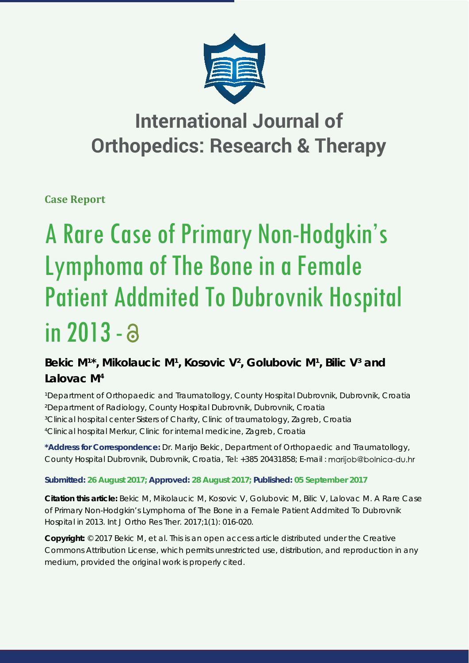

# **International Journal of Orthopedics: Research & Therapy**

**Case Report**

# A Rare Case of Primary Non-Hodgkin's Lymphoma of The Bone in a Female Patient Addmited To Dubrovnik Hospital in 2013 -

## Bekic M<sup>1\*</sup>, Mikolaucic M<sup>1</sup>, Kosovic V<sup>2</sup>, Golubovic M<sup>1</sup>, Bilic V<sup>3</sup> and **Lalovac M4**

*¹Department of Orthopaedic and Traumatollogy, County Hospital Dubrovnik, Dubrovnik, Croatia ²Department of Radiology, County Hospital Dubrovnik, Dubrovnik, Croatia ³Clinical hospital center Sisters of Charity, Clinic of traumatology, Zagreb, Croatia 4 Clinical hospital Merkur, Clinic for internal medicine, Zagreb, Croatia*

**\*Address for Correspondence:** Dr. Marijo Bekic, Department of Orthopaedic and Traumatollogy, County Hospital Dubrovnik, Dubrovnik, Croatia, Tel: +385 20431858; E-mail :

### **Submitted: 26 August 2017; Approved: 28 August 2017; Published: 05 September 2017**

**Citation this article:** Bekic M, Mikolaucic M, Kosovic V, Golubovic M, Bilic V, Lalovac M. A Rare Case of Primary Non-Hodgkin's Lymphoma of The Bone in a Female Patient Addmited To Dubrovnik Hospital in 2013. Int J Ortho Res Ther. 2017;1(1): 016-020.

**Copyright:** © 2017 Bekic M, et al. This is an open access article distributed under the Creative Commons Attribution License, which permits unrestricted use, distribution, and reproduction in any medium, provided the original work is properly cited.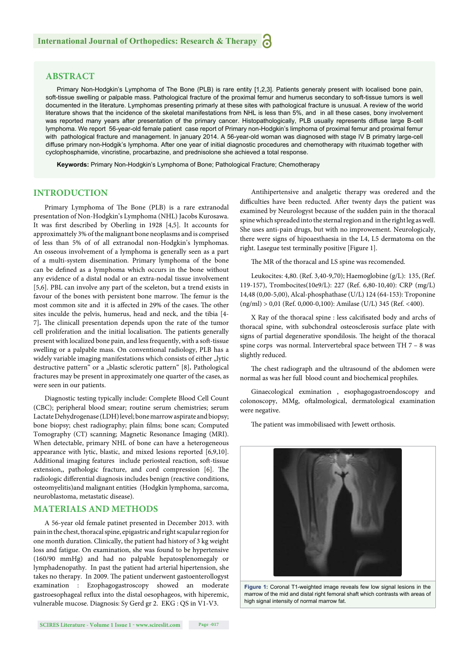#### **ABSTRACT**

Primary Non-Hodgkin's Lymphoma of The Bone (PLB) is rare entity [1,2,3]. Patients generaly present with localised bone pain, soft-tissue swelling or palpable mass. Pathological fracture of the proximal femur and humerus secondary to soft-tissue tumors is well documented in the literature. Lymphomas presenting primarly at these sites with pathological fracture is unusual. A review of the world literature shows that the incidence of the skeletal manifestations from NHL is less than 5%, and in all these cases, bony involvement was reported many years after presentation of the primary cancer. Histopathologically, PLB usually represents diffuse large B-cell lymphoma. We report 56-year-old female patient case report of Primary non-Hodgkin's limphoma of proximal femur and proximal femur with pathological fracture and management. In january 2014. A 56-year-old woman was diagnosed with stage IV B primatry large-cell diffuse primary non-Hodgik's lymphoma. After one year of initial diagnostic procedures and chemotherapy with rituximab together with cyclophosphamide, vincristine, procarbazine, and prednisolone she achieved a total response.

**Keywords:** Primary Non-Hodgkin's Lymphoma of Bone; Pathological Fracture; Chemotherapy

#### **INTRODUCTION**

Primary Lymphoma of The Bone (PLB) is a rare extranodal presentation of Non-Hodgkin's Lymphoma (NHL) Jacobs Kurosawa. It was first described by Oberling in 1928 [4,5]. It accounts for approximattely 3% of the malignant bone neoplasms and is comprised of less than 5% of of all extranodal non-Hodgkin's lymphomas. An osseous involvement of a lymphoma is generally seen as a part of a multi-system disemination. Primary lymphoma of the bone can be defined as a lymphoma which occurs in the bone without any evidence of a distal nodal or an extra-nodal tissue involvement [5,6]. PBL can involve any part of the sceleton, but a trend exists in favour of the bones with persistent bone marrow. The femur is the most common site and it is affected in 29% of the cases. The other sites inculde the pelvis, humerus, head and neck, and the tibia [4- 7]. The clinicall presentation depends upon the rate of the tumor cell proliferation and the initial localisation. The patients generally present with localized bone pain, and less frequently, with a soft -tissue swelling or a palpable mass. On conventional radiology, PLB has a widely variable imaging manifestations which consists of either "lytic destructive pattern<sup>"</sup> or a "blastic sclerotic pattern<sup>"</sup> [8]. Pathological fractures may be present in approximately one quarter of the cases, as were seen in our patients.

Diagnostic testing typically include: Complete Blood Cell Count (CBC); peripheral blood smear; routine serum chemistries; serum Lactate Dehydrogenase (LDH) level; bone marrow aspirate and biopsy; bone biopsy; chest radiography; plain films; bone scan; Computed Tomography (CT) scanning; Magnetic Resonance Imaging (MRI). When detectable, primary NHL of bone can have a heterogeneous appearance with lytic, blastic, and mixed lesions reported [6,9,10]. Additional imaging features include periosteal reaction, soft-tissue extension,, pathologic fracture, and cord compression [6]. The radiologic differential diagnosis includes benign (reactive conditions, osteomyelitis)and malignant entities (Hodgkin lymphoma, sarcoma, neuroblastoma, metastatic disease).

#### **MATERIALS AND METHODS**

A 56-year old female patinet presented in December 2013. with pain in the chest, thoracal spine, epigastric and right scapular region for one month duration. Clinically, the patient had history of 3 kg weight loss and fatigue. On examination, she was found to be hypertensive (160/90 mmHg) and had no palpable hepatosplenomegaly or lymphadenopathy. In past the patient had arterial hipertension, she takes no therapy. In 2009. The patient underwent gastoenterollogyst examination : Ezophagogastroscopy showed an moderate gastroesophageal reflux into the distal oesophageos, with hiperemic, vulnerable mucose. Diagnosis: Sy Gerd gr 2. EKG : QS in V1-V3.

Antihipertensive and analgetic therapy was oredered and the difficulties have been reducted. After twenty days the patient was examined by Neurologyst because of the sudden pain in the thoracal spine which spreaded into the sternal region and in the right leg as well. She uses anti-pain drugs, but with no improwement. Neurologicaly, there were signs of hipoaesthaesia in the L4, L5 dermatoma on the right. Lasegue test terminally positive [Figure 1].

The MR of the thoracal and LS spine was recomended.

Leukocites: 4,80. (Ref. 3,40-9,70); Haemoglobine (g/L): 135, (Ref. 119-157), Trombocites(10e9/L): 227 (Ref. 6,80-10,40): CRP (mg/L) 14,48 (0,00-5,00), Alcal-phosphathase (U/L) 124 (64-153): Troponine (ng/ml) > 0,01 (Ref. 0,000-0,100): Amilase (U/L) 345 (Ref. <400).

X Ray of the thoracal spine : less calcifisated body and archs of thoracal spine, with subchondral osteosclerosis surface plate with signs of partial degenerative spondilosis. The height of the thoracal spine corps was normal. Intervertebral space between TH 7 – 8 was slightly reduced.

The chest radiograph and the ultrasound of the abdomen were normal as was her full blood count and biochemical prophiles.

Ginaecological exmination , esophagogastroendoscopy and colonoscopy, MMg, oftalmological, dermatological examination were negative.

The patient was immobilisaed with Jewett orthosis.



**Figure 1:** Coronal T1-weighted image reveals few low signal lesions in the marrow of the mid and distal right femoral shaft which contrasts with areas of high signal intensity of normal marrow fat.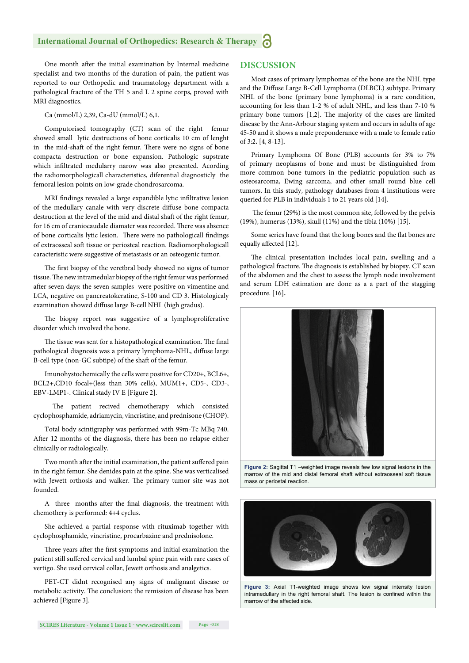#### **International Journal of Orthopedics: Research & Therapy**

One month after the initial examination by Internal medicine specialist and two months of the duration of pain, the patient was reported to our Orthopedic and traumatology department with a pathological fracture of the TH 5 and L 2 spine corps, proved with MRI diagnostics.

Ca (mmol/L) 2,39, Ca-dU (mmol/L) 6,1.

Computorised tomography (CT) scan of the right femur showed small lytic destructions of bone corticalis 10 cm of lenght in the mid-shaft of the right femur. There were no signs of bone compacta destruction or bone expansion. Pathologic supstrate which infiltrated medularry narow was also presented. Acording the radiomorphologicall characteristics, diferential diagnosticly the femoral lesion points on low-grade chondrosarcoma.

MRI findings revealed a large expandible lytic infiltrative lesion of the medullary canale with very discrete diffuse bone compacta destruction at the level of the mid and distal shaft of the right femur, for 16 cm of craniocaudale diamater was recorded. There was absence of bone corticalis lytic lesion. There were no pathologicall findings of extraosseal soft tissue or periosteal reaction. Radiomorphologicall caracteristic were suggestive of metastasis or an osteogenic tumor.

The first biopsy of the veretbral body showed no signs of tumor tissue. The new intramedular biopsy of the right femur was performed after seven days: the seven samples were positive on vimentine and LCA, negative on pancreatokeratine, S-100 and CD 3. Histologicaly examination showed diffuse large B-cell NHL (high gradus).

The biopsy report was suggestive of a lymphoproliferative disorder which involved the bone.

The tissue was sent for a histopathological examination. The final pathological diagnosis was a primary lymphoma-NHL, diffuse large B-cell type (non-GC subtipe) of the shaft of the femur.

Imunohystochemically the cells were positive for CD20+, BCL6+, BCL2+,CD10 focal+(less than 30% cells), MUM1+, CD5-, CD3-, EBV-LMP1-. Clinical stady IV E [Figure 2].

patient recived chemotherapy which consisted cyclophosphamide, adriamycin, vincristine, and prednisone (CHOP).

Total body scintigraphy was performed with 99m-Tc MBq 740. After 12 months of the diagnosis, there has been no relapse either clinically or radiologically.

Two month after the initial examination, the patient suffered pain in the right femur. She denides pain at the spine. She was verticalised with Jewett orthosis and walker. The primary tumor site was not founded.

A three months after the final diagnosis, the treatment with chemothery is performed: 4+4 cyclus.

She achieved a partial response with rituximab together with cyclophosphamide, vincristine, procarbazine and prednisolone.

Three years after the first symptoms and initial examination the patient still suffered cervical and lumbal spine pain with rare cases of vertigo. She used cervical collar, Jewett orthosis and analgetics.

PET-CT didnt recognised any signs of malignant disease or metabolic activity. The conclusion: the remission of disease has been achieved [Figure 3].

#### **DISCUSSION**

Most cases of primary lymphomas of the bone are the NHL type and the Diffuse Large B-Cell Lymphoma (DLBCL) subtype. Primary NHL of the bone (primary bone lymphoma) is a rare condition, accounting for less than 1-2 % of adult NHL, and less than 7-10 % primary bone tumors  $[1,2]$ . The majority of the cases are limited disease by the Ann-Arbour staging system and occurs in adults of age 45-50 and it shows a male preponderance with a male to female ratio of 3:2**.** [4, 8-13]**.**

Primary Lymphoma Of Bone (PLB) accounts for 3% to 7% of primary neoplasms of bone and must be distinguished from more common bone tumors in the pediatric population such as osteosarcoma, Ewing sarcoma, and other small round blue cell tumors. In this study, pathology databases from 4 institutions were queried for PLB in individuals 1 to 21 years old [14].

The femur (29%) is the most common site, followed by the pelvis (19%), humerus (13%), skull (11%) and the tibia (10%) [15].

Some series have found that the long bones and the flat bones are equally affected [12].

The clinical presentation includes local pain, swelling and a pathological fracture. The diagnosis is established by biopsy. CT scan of the abdomen and the chest to assess the lymph node involvement and serum LDH estimation are done as a a part of the stagging procedure. [16]**.**



**Figure 2:** Sagittal T1 –weighted image reveals few low signal lesions in the marrow of the mid and distal femoral shaft without extraosseal soft tissue mass or periostal reaction.



**Figure 3:** Axial T1-weighted image shows low signal intensity lesion intramedullary in the right femoral shaft. The lesion is confined within the marrow of the affected side.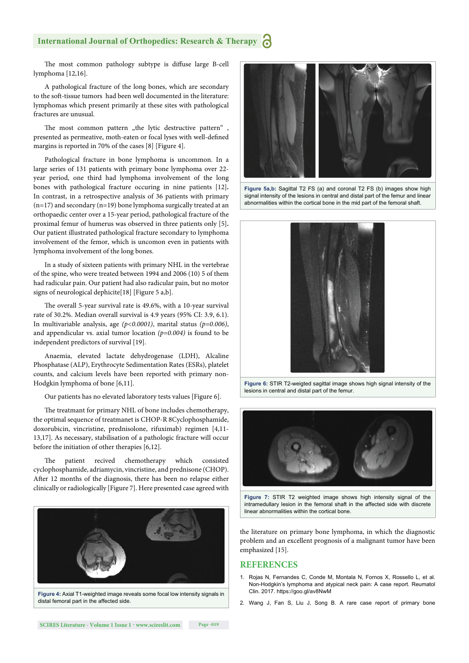#### **International Journal of Orthopedics: Research & Therapy**

The most common pathology subtype is diffuse large B-cell lymphoma [12,16].

A pathological fracture of the long bones, which are secondary to the soft -tissue tumors had been well documented in the literature: lymphomas which present primarily at these sites with pathological fractures are unusual.

The most common pattern "the lytic destructive pattern" presented as permeative, moth-eaten or focal lyses with well-defined margins is reported in 70% of the cases [8] [Figure 4].

Pathological fracture in bone lymphoma is uncommon. In a large series of 131 patients with primary bone lymphoma over 22 year period, one third had lymphoma involvement of the long bones with pathological fracture occuring in nine patients [12]**.**  In contrast, in a retrospective analysis of 36 patients with primary  $(n=17)$  and secondary  $(n=19)$  bone lymphoma surgically treated at an orthopaedic center over a 15-year period, pathological fracture of the proximal femur of humerus was observed in three patients only [5]**.**  Our patient illustrated pathological fracture secondary to lymphoma involvement of the femor, which is uncomon even in patients with lymphoma involvement of the long bones.

In a study of sixteen patients with primary NHL in the vertebrae of the spine, who were treated between 1994 and 2006 (10) 5 of them had radicular pain. Our patient had also radicular pain, but no motor signs of neurological dephicite[18] [Figure 5 a,b].

The overall 5-year survival rate is 49.6%, with a 10-year survival rate of 30.2%. Median overall survival is 4.9 years (95% CI: 3.9, 6.1). In multivariable analysis, age *(p<0.0001)*, marital status *(p=0.006)*, and appendicular vs. axial tumor location *(p=0.004)* is found to be independent predictors of survival [19].

Anaemia, elevated lactate dehydrogenase (LDH), Alcaline Phosphatase (ALP), Erythrocyte Sedimentation Rates (ESRs), platelet counts, and calcium levels have been reported with primary non-Hodgkin lymphoma of bone [6,11].

Our patients has no elevated laboratory tests values [Figure 6].

The treatmant for primary NHL of bone includes chemotherapy, the optimal sequence of treatmanet is CHOP-R 8Cyclophosphamide, doxorubicin, vincristine, prednisolone, rifuximab) regimen [4,11- 13,17]. As necessary, stabilisation of a pathologic fracture will occur before the initiation of other therapies [6,12].

The patient recived chemotherapy which consisted cyclophosphamide, adriamycin, vincristine, and prednisone (CHOP). After 12 months of the diagnosis, there has been no relapse either clinically or radiologically [Figure 7]. Here presented case agreed with



**Figure 4:** Axial T1-weighted image reveals some focal low intensity signals in distal femoral part in the affected side.



**Figure 5a,b:** Sagittal T2 FS (a) and coronal T2 FS (b) images show high signal intensity of the lesions in central and distal part of the femur and linear abnormalities within the cortical bone in the mid part of the femoral shaft.



**Figure 6:** STIR T2-weigted sagittal image shows high signal intensity of the lesions in central and distal part of the femur.



**Figure 7:** STIR T2 weighted image shows high intensity signal of the intramedullary lesion in the femoral shaft in the affected side with discrete linear abnormalities within the cortical bone.

the literature on primary bone lymphoma, in which the diagnostic problem and an excellent prognosis of a malignant tumor have been emphasized [15].

#### **REFERENCES**

- 1. Rojas N, Fernandes C, Conde M, Montala N, Fornos X, Rossello L, et al. Non-Hodgkin's lymphoma and atypical neck pain: A case report. Reumatol Clin. 2017. https://goo.gl/av8NwM
- 2. Wang J, Fan S, Liu J, Song B. A rare case report of primary bone